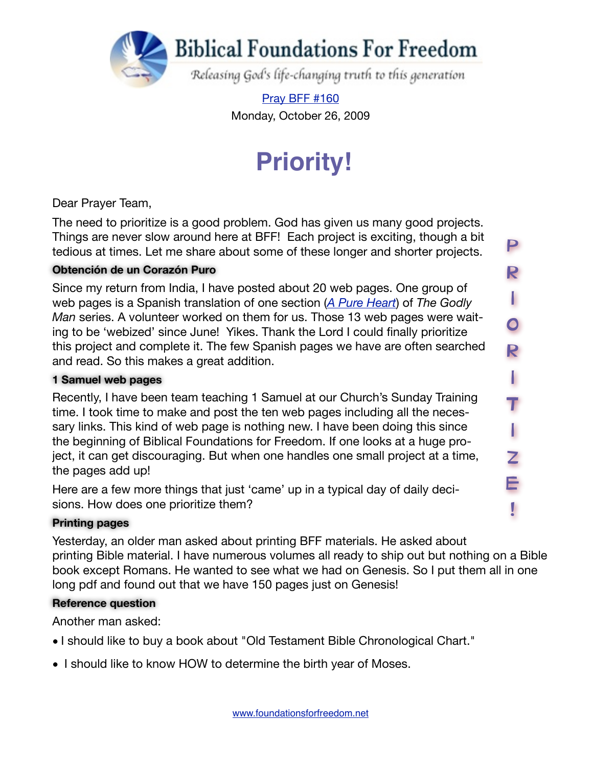

[Pray BFF #160](http://www.foundationsforfreedom.net/Help/TeamsF/Pray/Archives/Pray2009/pdf/PrayBFF160.pdf) Monday, October 26, 2009

# **Priority!**

P

R

I

г

O

R

I

I

T

I

I

Z

E

!

Dear Prayer Team,

The need to prioritize is a good problem. God has given us many good projects. Things are never slow around here at BFF! Each project is exciting, though a bit tedious at times. Let me share about some of these longer and shorter projects.

#### **Obtención de un Corazón Puro**

Since my return from India, I have posted about 20 web pages. One group of web pages is a Spanish translation of one section (*[A Pure Heart](http://www.foundationsforfreedom.net/Topics/Language/Spanish/El_Hombre_Piadoso/Corazon_Puro/Corazon_Puro_00.html)*) of *The Godly Man* series. A volunteer worked on them for us. Those 13 web pages were waiting to be 'webized' since June! Yikes. Thank the Lord I could finally prioritize this project and complete it. The few Spanish pages we have are often searched and read. So this makes a great addition.

#### **1 Samuel web pages**

Recently, I have been team teaching 1 Samuel at our Church's Sunday Training time. I took time to make and post the ten web pages including all the necessary links. This kind of web page is nothing new. I have been doing this since the beginning of Biblical Foundations for Freedom. If one looks at a huge project, it can get discouraging. But when one handles one small project at a time, the pages add up!

Here are a few more things that just 'came' up in a typical day of daily decisions. How does one prioritize them?

#### **Printing pages**

Yesterday, an older man asked about printing BFF materials. He asked about printing Bible material. I have numerous volumes all ready to ship out but nothing on a Bible book except Romans. He wanted to see what we had on Genesis. So I put them all in one long pdf and found out that we have 150 pages just on Genesis!

#### **Reference question**

Another man asked:

- I should like to buy a book about "Old Testament Bible Chronological Chart."
- I should like to know HOW to determine the birth year of Moses.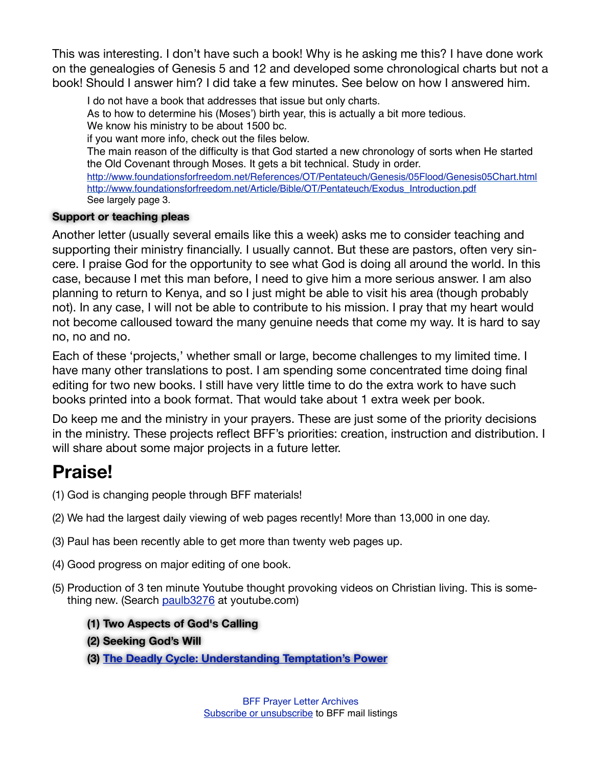This was interesting. I don't have such a book! Why is he asking me this? I have done work on the genealogies of Genesis 5 and 12 and developed some chronological charts but not a book! Should I answer him? I did take a few minutes. See below on how I answered him.

I do not have a book that addresses that issue but only charts. As to how to determine his (Moses') birth year, this is actually a bit more tedious. We know his ministry to be about 1500 bc. if you want more info, check out the files below. The main reason of the difficulty is that God started a new chronology of sorts when He started the Old Covenant through Moses. It gets a bit technical. Study in order. <http://www.foundationsforfreedom.net/References/OT/Pentateuch/Genesis/05Flood/Genesis05Chart.html> [http://www.foundationsforfreedom.net/Article/Bible/OT/Pentateuch/Exodus\\_Introduction.pdf](http://www.foundationsforfreedom.net/Article/Bible/OT/Pentateuch/Exodus_Introduction.pdf) See largely page 3.

#### **Support or teaching pleas**

Another letter (usually several emails like this a week) asks me to consider teaching and supporting their ministry financially. I usually cannot. But these are pastors, often very sincere. I praise God for the opportunity to see what God is doing all around the world. In this case, because I met this man before, I need to give him a more serious answer. I am also planning to return to Kenya, and so I just might be able to visit his area (though probably not). In any case, I will not be able to contribute to his mission. I pray that my heart would not become calloused toward the many genuine needs that come my way. It is hard to say no, no and no.

Each of these 'projects,' whether small or large, become challenges to my limited time. I have many other translations to post. I am spending some concentrated time doing final editing for two new books. I still have very little time to do the extra work to have such books printed into a book format. That would take about 1 extra week per book.

Do keep me and the ministry in your prayers. These are just some of the priority decisions in the ministry. These projects reflect BFF's priorities: creation, instruction and distribution. I will share about some major projects in a future letter.

### **Praise!**

- (1) God is changing people through BFF materials!
- (2) We had the largest daily viewing of web pages recently! More than 13,000 in one day.
- (3) Paul has been recently able to get more than twenty web pages up.
- (4) Good progress on major editing of one book.
- (5) Production of 3 ten minute Youtube thought provoking videos on Christian living. This is something new. (Search [paulb3276](http://www.youtube.com/results?search_query=paulb3276&search_type=&aq=f) at youtube.com)
	- **(1) [Two Aspects of God's Calling](http://www.youtube.com/watch?v=BQwK-er5jGI)**
	- **[\(2\) Seeking God's Will](http://www.youtube.com/watch?v=20AbEasbSNk)**
	- **(3) [The Deadly Cycle: Understanding Temptation's Power](http://www.youtube.com/watch?v=APZCYg7ioig&feature=related)**